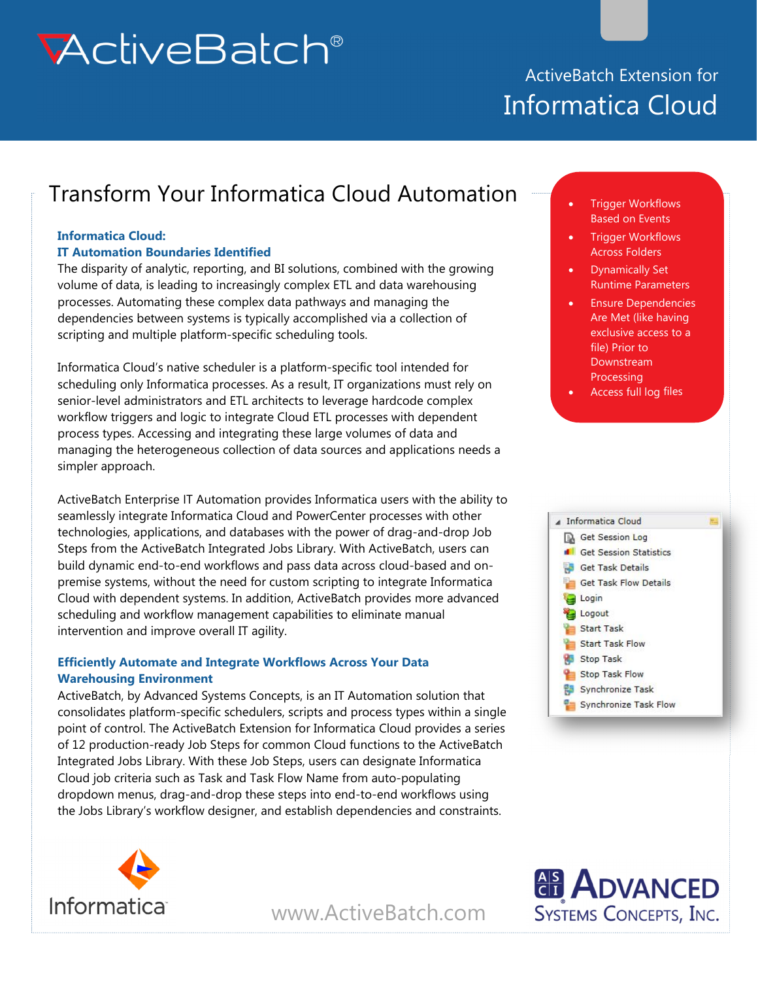# **McliveBalch®**

## ActiveBatch Extension for Informatica Cloud

# Transform Your Informatica Cloud Automation **1997** . Trigger Workflows

#### **Informatica Cloud:**

#### **IT Automation Boundaries Identified**

The disparity of analytic, reporting, and BI solutions, combined with the growing volume of data, is leading to increasingly complex ETL and data warehousing processes. Automating these complex data pathways and managing the dependencies between systems is typically accomplished via a collection of scripting and multiple platform-specific scheduling tools.

Informatica Cloud's native scheduler is a platform-specific tool intended for scheduling only Informatica processes. As a result, IT organizations must rely on senior-level administrators and ETL architects to leverage hardcode complex workflow triggers and logic to integrate Cloud ETL processes with dependent process types. Accessing and integrating these large volumes of data and managing the heterogeneous collection of data sources and applications needs a simpler approach.

ActiveBatch Enterprise IT Automation provides Informatica users with the ability to seamlessly integrate Informatica Cloud and PowerCenter processes with other technologies, applications, and databases with the power of drag-and-drop Job Steps from the ActiveBatch Integrated Jobs Library. With ActiveBatch, users can build dynamic end-to-end workflows and pass data across cloud-based and onpremise systems, without the need for custom scripting to integrate Informatica Cloud with dependent systems. In addition, ActiveBatch provides more advanced scheduling and workflow management capabilities to eliminate manual intervention and improve overall IT agility.

#### **Efficiently Automate and Integrate Workflows Across Your Data Warehousing Environment**

ActiveBatch, by Advanced Systems Concepts, is an IT Automation solution that consolidates platform-specific schedulers, scripts and process types within a single point of control. The ActiveBatch Extension for Informatica Cloud provides a series of 12 production-ready Job Steps for common Cloud functions to the ActiveBatch Integrated Jobs Library. With these Job Steps, users can designate Informatica Cloud job criteria such as Task and Task Flow Name from auto-populating dropdown menus, drag-and-drop these steps into end-to-end workflows using the Jobs Library's workflow designer, and establish dependencies and constraints.



- Trigger Workflows Across Folders
- Dynamically Set Runtime Parameters
- Ensure Dependencies Are Met (like having exclusive access to a file) Prior to **Downstream Processing**
- Access full log files





[www.ActiveBatch.com](www.activebatch.com) 

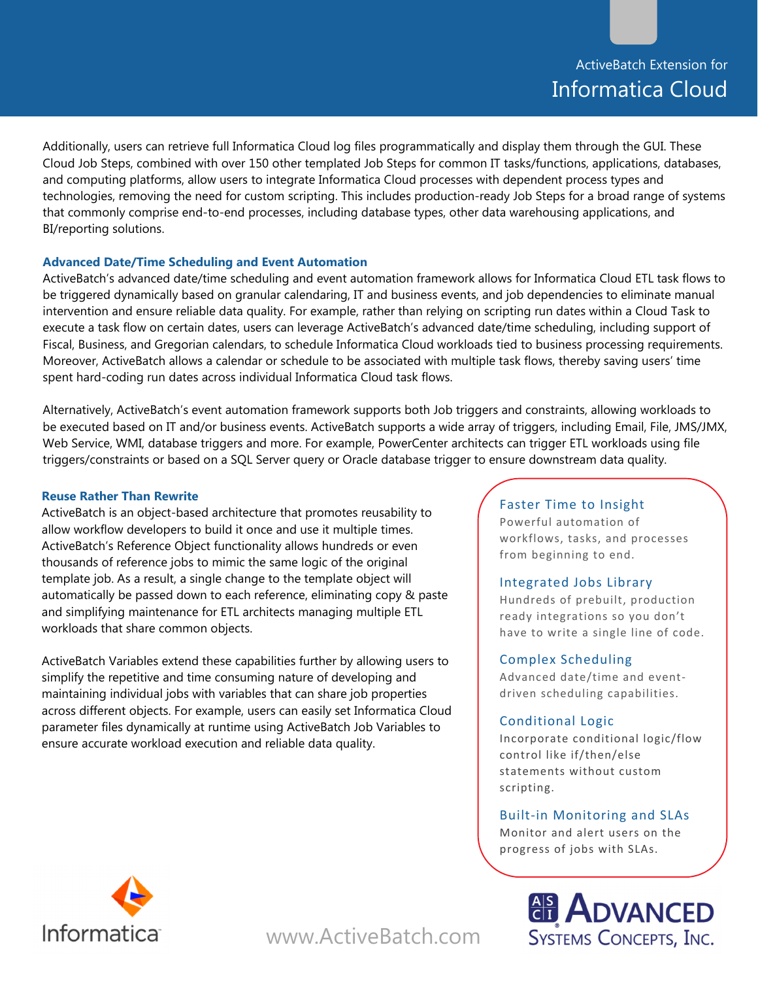### ActiveBatch Extension for Informatica Cloud

Additionally, users can retrieve full Informatica Cloud log files programmatically and display them through the GUI. These Cloud Job Steps, combined with over 150 other templated Job Steps for common IT tasks/functions, applications, databases, and computing platforms, allow users to integrate Informatica Cloud processes with dependent process types and technologies, removing the need for custom scripting. This includes production-ready Job Steps for a broad range of systems that commonly comprise end-to-end processes, including database types, other data warehousing applications, and BI/reporting solutions.

#### **Advanced Date/Time Scheduling and Event Automation**

ActiveBatch's advanced date/time scheduling and event automation framework allows for Informatica Cloud ETL task flows to be triggered dynamically based on granular calendaring, IT and business events, and job dependencies to eliminate manual intervention and ensure reliable data quality. For example, rather than relying on scripting run dates within a Cloud Task to execute a task flow on certain dates, users can leverage ActiveBatch's advanced date/time scheduling, including support of Fiscal, Business, and Gregorian calendars, to schedule Informatica Cloud workloads tied to business processing requirements. Moreover, ActiveBatch allows a calendar or schedule to be associated with multiple task flows, thereby saving users' time spent hard-coding run dates across individual Informatica Cloud task flows.

Alternatively, ActiveBatch's event automation framework supports both Job triggers and constraints, allowing workloads to be executed based on IT and/or business events. ActiveBatch supports a wide array of triggers, including Email, File, JMS/JMX, Web Service, WMI, database triggers and more. For example, PowerCenter architects can trigger ETL workloads using file triggers/constraints or based on a SQL Server query or Oracle database trigger to ensure downstream data quality.

#### **Reuse Rather Than Rewrite**

ActiveBatch is an object-based architecture that promotes reusability to allow workflow developers to build it once and use it multiple times. ActiveBatch's Reference Object functionality allows hundreds or even thousands of reference jobs to mimic the same logic of the original template job. As a result, a single change to the template object will automatically be passed down to each reference, eliminating copy & paste and simplifying maintenance for ETL architects managing multiple ETL workloads that share common objects.

ActiveBatch Variables extend these capabilities further by allowing users to simplify the repetitive and time consuming nature of developing and maintaining individual jobs with variables that can share job properties across different objects. For example, users can easily set Informatica Cloud parameter files dynamically at runtime using ActiveBatch Job Variables to ensure accurate workload execution and reliable data quality.

#### Faster Time to Insight

Powerful automation of workflows, tasks, and processes from beginning to end.

#### Integrated Jobs Library

Hundreds of prebuilt, production ready integrations so you don't have to write a single line of code.

#### Complex Scheduling

Advanced date/time and event‐ driven scheduling capabilities.

#### Conditional Logic

Incorporate conditional logic/flow control like if/then/else statements without custom scripting.

#### Built‐in Monitoring and SLAs

Monitor and alert users on the progress of jobs with SLAs.





[www.ActiveBatch.com](www.activebatch.com)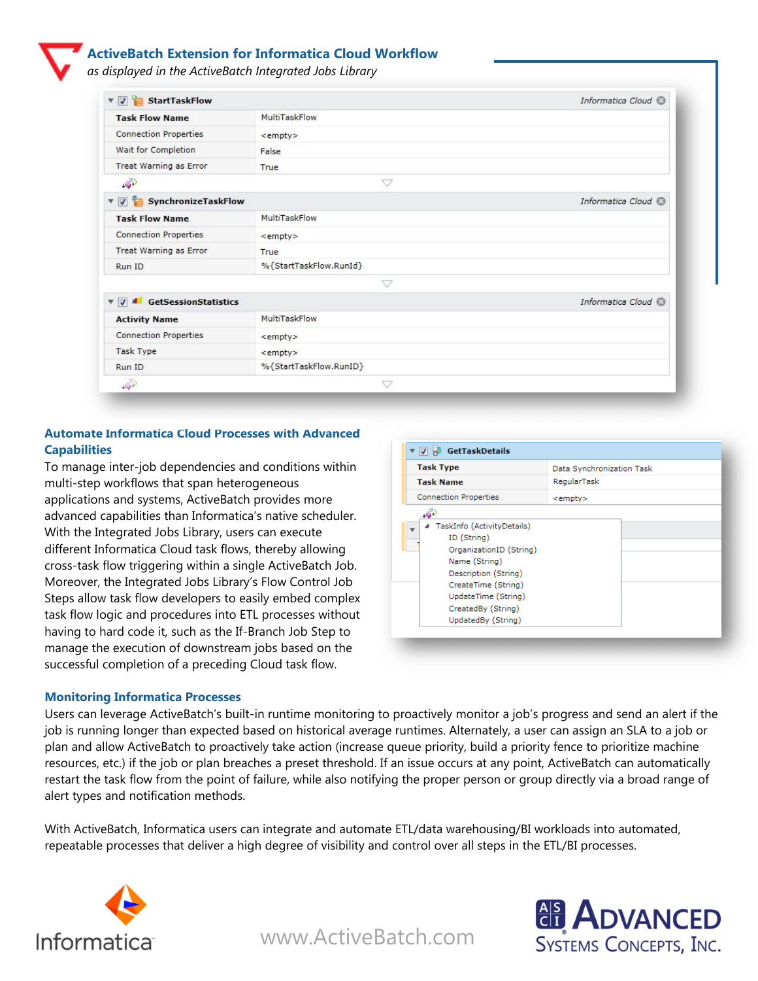#### **ActiveBatch Extension for Informatica Cloud Workflow**

*as displayed in the ActiveBatch Integrated Jobs Library* 

| StartTaskFlow<br>$\overline{\mathbf{v}}$ |                        | Informatica Cloud   |
|------------------------------------------|------------------------|---------------------|
| <b>Task Flow Name</b>                    | MultiTaskFlow          |                     |
| <b>Connection Properties</b>             | <empty></empty>        |                     |
| Wait for Completion                      | False                  |                     |
| <b>Treat Warning as Error</b>            | True                   |                     |
| $\sqrt{2}$                               | v                      |                     |
| V V SynchronizeTaskFlow                  |                        | Informatica Cloud   |
| <b>Task Flow Name</b>                    | MultiTaskFlow          |                     |
| <b>Connection Properties</b>             | <empty></empty>        |                     |
| <b>Treat Warning as Error</b>            | True                   |                     |
| Run ID                                   | %{StartTaskFlow.RunId} |                     |
|                                          | $\bigtriangledown$     |                     |
| GetSessionStatistics<br>$\overline{v}$   |                        | Informatica Cloud @ |
| <b>Activity Name</b>                     | MultiTaskFlow          |                     |
| <b>Connection Properties</b>             | <empty></empty>        |                     |
| <b>Task Type</b>                         | <empty></empty>        |                     |
| Run ID                                   | %{StartTaskFlow.RunID} |                     |
| $+5$                                     | $\bigtriangledown$     |                     |

#### **Automate Informatica Cloud Processes with Advanced Capabilities**

To manage inter-job dependencies and conditions within multi-step workflows that span heterogeneous applications and systems, ActiveBatch provides more advanced capabilities than Informatica's native scheduler. With the Integrated Jobs Library, users can execute different Informatica Cloud task flows, thereby allowing cross-task flow triggering within a single ActiveBatch Job. Moreover, the Integrated Jobs Library's Flow Control Job Steps allow task flow developers to easily embed complex task flow logic and procedures into ETL processes without having to hard code it, such as the If-Branch Job Step to manage the execution of downstream jobs based on the successful completion of a preceding Cloud task flow.

| <b>Task Type</b>                                                                                                                                                                                          | Data Synchronization Task |
|-----------------------------------------------------------------------------------------------------------------------------------------------------------------------------------------------------------|---------------------------|
| <b>Task Name</b>                                                                                                                                                                                          | RegularTask               |
| <b>Connection Properties</b>                                                                                                                                                                              | <empty></empty>           |
| نتی                                                                                                                                                                                                       |                           |
| ▲ TaskInfo (ActivityDetails)<br>ID (String)<br>OrganizationID (String)<br>Name (String)<br>Description (String)<br>CreateTime (String)<br>UpdateTime (String)<br>CreatedBy (String)<br>UpdatedBy (String) |                           |

#### **Monitoring Informatica Processes**

Users can leverage ActiveBatch's built-in runtime monitoring to proactively monitor a job's progress and send an alert if the job is running longer than expected based on historical average runtimes. Alternately, a user can assign an SLA to a job or plan and allow ActiveBatch to proactively take action (increase queue priority, build a priority fence to prioritize machine resources, etc.) if the job or plan breaches a preset threshold. If an issue occurs at any point, ActiveBatch can automatically restart the task flow from the point of failure, while also notifying the proper person or group directly via a broad range of alert types and notification methods.

With ActiveBatch, Informatica users can integrate and automate ETL/data warehousing/BI workloads into automated, repeatable processes that deliver a high degree of visibility and control over all steps in the ETL/BI processes.



**ADVANCED**<br>SYSTEMS CONCEPTS, INC.

[www.ActiveBatch.com](www.activebatch.com)